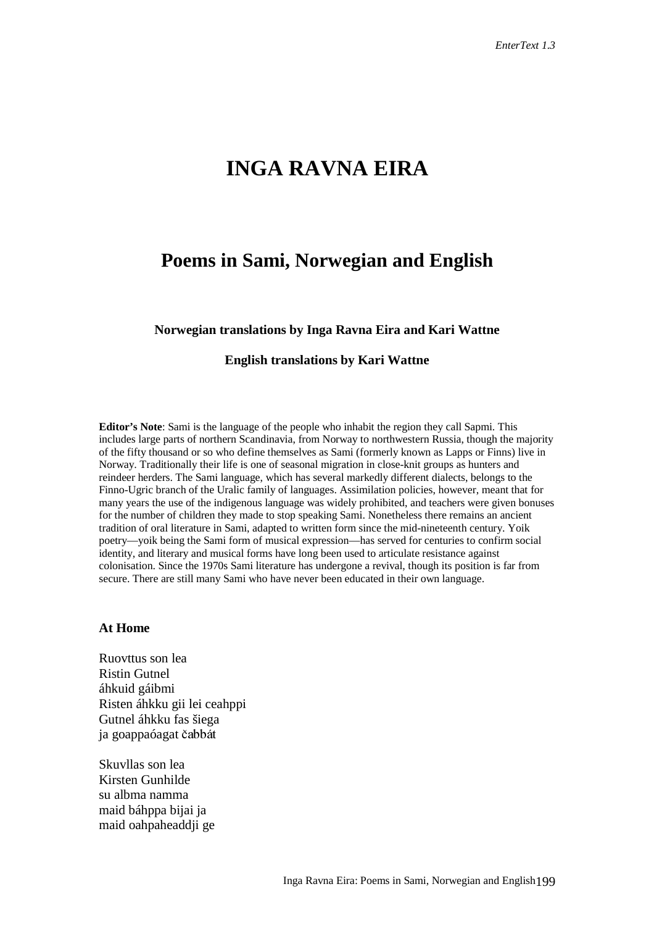# **INGA RAVNA EIRA**

## **Poems in Sami, Norwegian and English**

#### **Norwegian translations by Inga Ravna Eira and Kari Wattne**

#### **English translations by Kari Wattne**

**Editor's Note**: Sami is the language of the people who inhabit the region they call Sapmi. This includes large parts of northern Scandinavia, from Norway to northwestern Russia, though the majority of the fifty thousand or so who define themselves as Sami (formerly known as Lapps or Finns) live in Norway. Traditionally their life is one of seasonal migration in close-knit groups as hunters and reindeer herders. The Sami language, which has several markedly different dialects, belongs to the Finno-Ugric branch of the Uralic family of languages. Assimilation policies, however, meant that for many years the use of the indigenous language was widely prohibited, and teachers were given bonuses for the number of children they made to stop speaking Sami. Nonetheless there remains an ancient tradition of oral literature in Sami, adapted to written form since the mid-nineteenth century. Yoik poetry—yoik being the Sami form of musical expression—has served for centuries to confirm social identity, and literary and musical forms have long been used to articulate resistance against colonisation. Since the 1970s Sami literature has undergone a revival, though its position is far from secure. There are still many Sami who have never been educated in their own language.

### **At Home**

Ruovttus son lea Ristin Gutnel áhkuid gáibmi Risten áhkku gii lei ceahppi Gutnel áhkku fas šiega ja goappaóagat čabbát

Skuvllas son lea Kirsten Gunhilde su albma namma maid báhppa bijai ja maid oahpaheaddji ge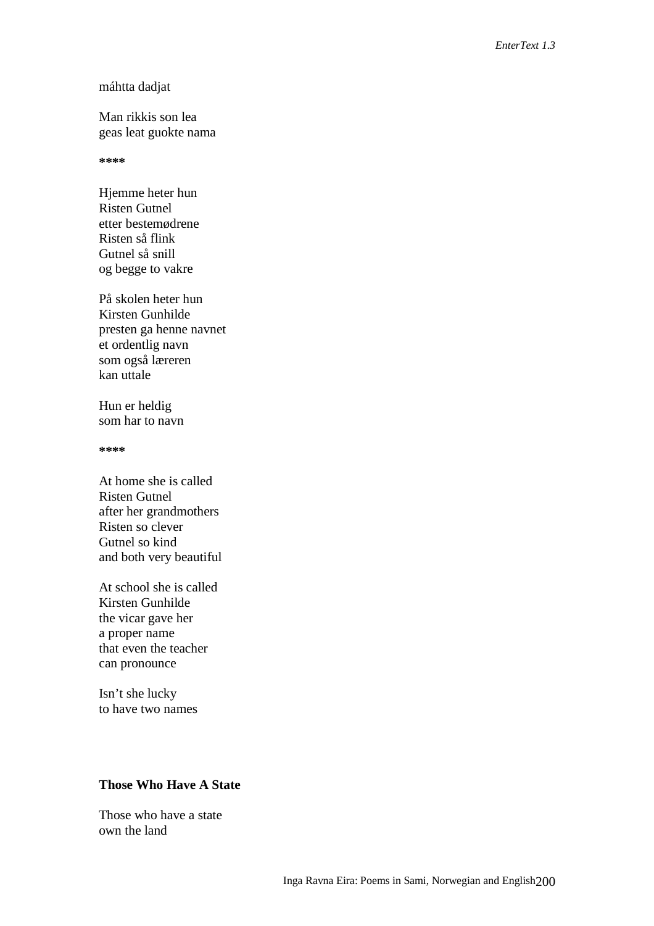#### máhtta dadjat

Man rikkis son lea geas leat guokte nama

#### **\*\*\*\***

Hjemme heter hun Risten Gutnel etter bestemødrene Risten så flink Gutnel så snill og begge to vakre

På skolen heter hun Kirsten Gunhilde presten ga henne navnet et ordentlig navn som også læreren kan uttale

Hun er heldig som har to navn

**\*\*\*\***

At home she is called Risten Gutnel after her grandmothers Risten so clever Gutnel so kind and both very beautiful

At school she is called Kirsten Gunhilde the vicar gave her a proper name that even the teacher can pronounce

Isn't she lucky to have two names

## **Those Who Have A State**

Those who have a state own the land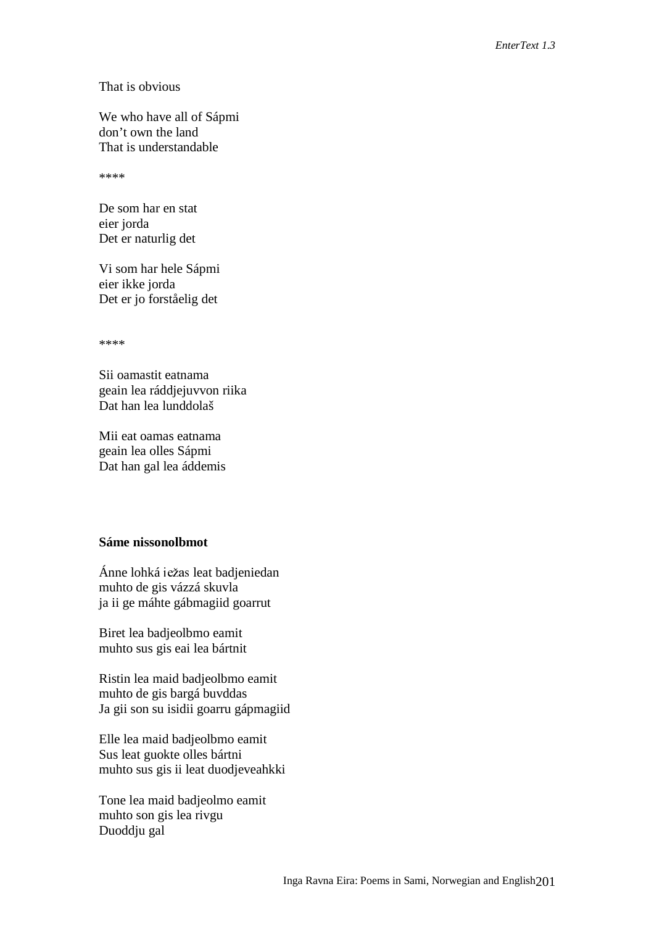### That is obvious

We who have all of Sápmi don't own the land That is understandable

\*\*\*\*

De som har en stat eier jorda Det er naturlig det

Vi som har hele Sápmi eier ikke jorda Det er jo forståelig det

\*\*\*\*

Sii oamastit eatnama geain lea ráddjejuvvon riika Dat han lea lunddolaš

Mii eat oamas eatnama geain lea olles Sápmi Dat han gal lea áddemis

## **Sáme nissonolbmot**

Ánne lohká iežas leat badjeniedan muhto de gis vázzá skuvla ja ii ge máhte gábmagiid goarrut

Biret lea badjeolbmo eamit muhto sus gis eai lea bártnit

Ristin lea maid badjeolbmo eamit muhto de gis bargá buvddas Ja gii son su isidii goarru gápmagiid

Elle lea maid badjeolbmo eamit Sus leat guokte olles bártni muhto sus gis ii leat duodjeveahkki

Tone lea maid badjeolmo eamit muhto son gis lea rivgu Duoddju gal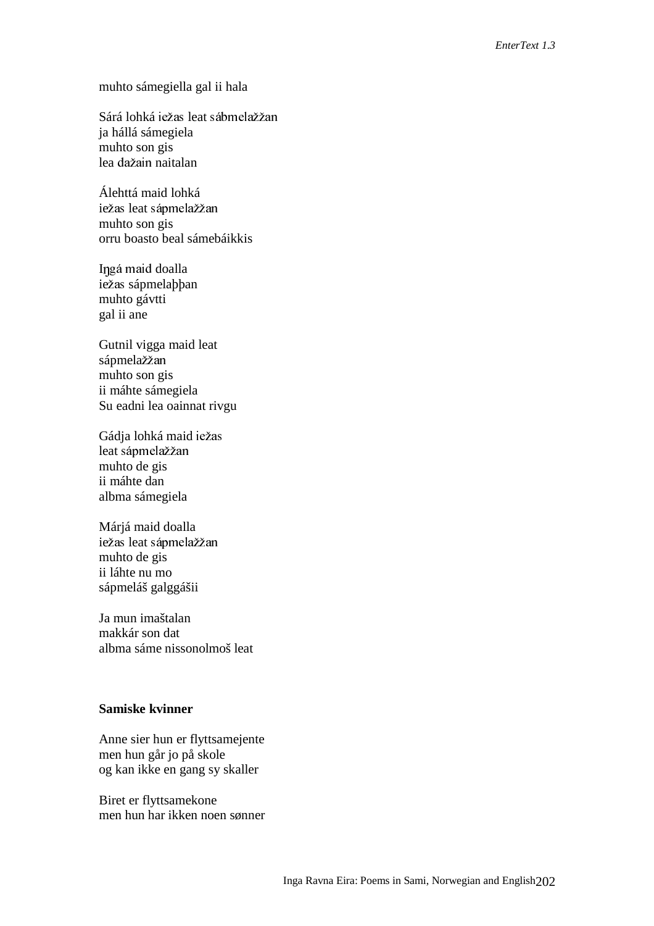## muhto sámegiella gal ii hala

Sárá lohká iežas leat sábmelažžan ja hállá sámegiela muhto son gis lea dažain naitalan

Álehttá maid lohká iežas leat sápmelažžan muhto son gis orru boasto beal sámebáikkis

Iŋgá maid doalla iežas sápmelaþþan muhto gávtti gal ii ane

Gutnil vigga maid leat sápmelažžan muhto son gis ii máhte sámegiela Su eadni lea oainnat rivgu

Gádja lohká maid iežas leat sápmelažžan muhto de gis ii máhte dan albma sámegiela

Márjá maid doalla iežas leat sápmelažžan muhto de gis ii láhte nu mo sápmeláš galggášii

Ja mun imaštalan makkár son dat albma sáme nissonolmoš leat

## **Samiske kvinner**

Anne sier hun er flyttsamejente men hun går jo på skole og kan ikke en gang sy skaller

Biret er flyttsamekone men hun har ikken noen sønner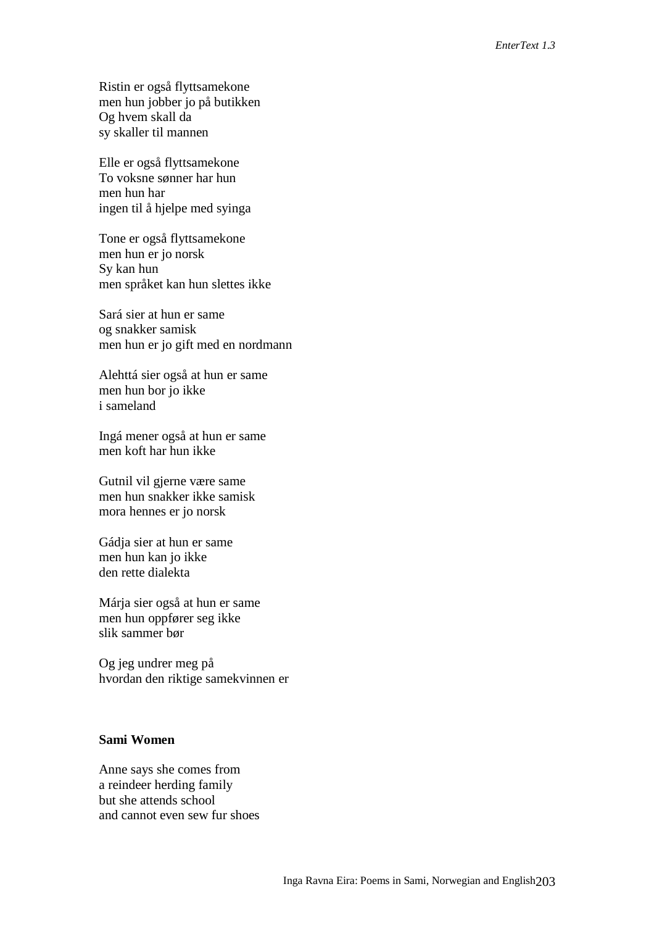Ristin er også flyttsamekone men hun jobber jo på butikken Og hvem skall da sy skaller til mannen

Elle er også flyttsamekone To voksne sønner har hun men hun har ingen til å hjelpe med syinga

Tone er også flyttsamekone men hun er jo norsk Sy kan hun men språket kan hun slettes ikke

Sará sier at hun er same og snakker samisk men hun er jo gift med en nordmann

Alehttá sier også at hun er same men hun bor jo ikke i sameland

Ingá mener også at hun er same men koft har hun ikke

Gutnil vil gjerne være same men hun snakker ikke samisk mora hennes er jo norsk

Gádja sier at hun er same men hun kan jo ikke den rette dialekta

Márja sier også at hun er same men hun oppfører seg ikke slik sammer bør

Og jeg undrer meg på hvordan den riktige samekvinnen er

## **Sami Women**

Anne says she comes from a reindeer herding family but she attends school and cannot even sew fur shoes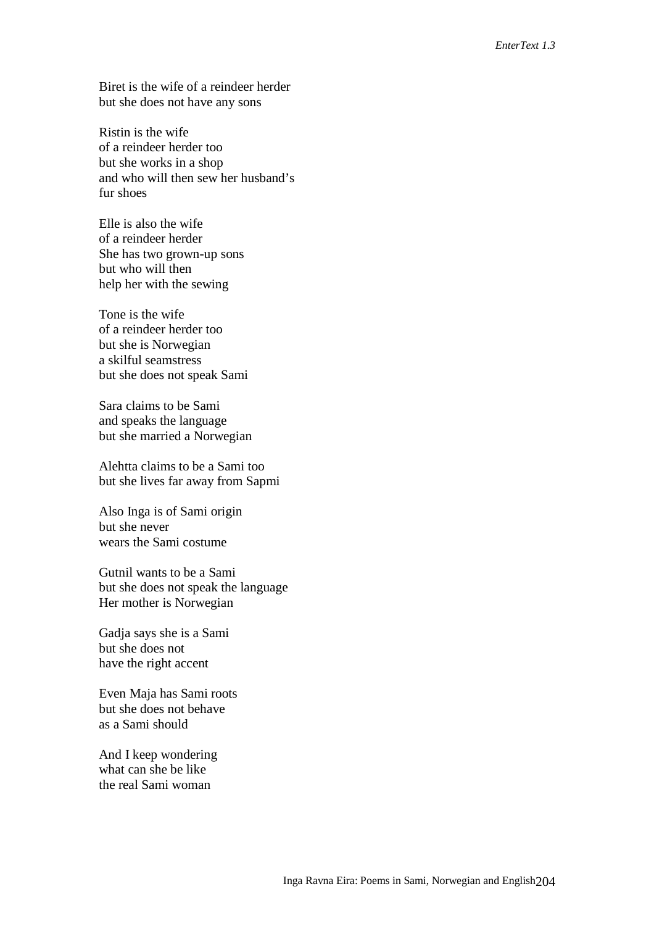Biret is the wife of a reindeer herder but she does not have any sons

Ristin is the wife of a reindeer herder too but she works in a shop and who will then sew her husband's fur shoes

Elle is also the wife of a reindeer herder She has two grown-up sons but who will then help her with the sewing

Tone is the wife of a reindeer herder too but she is Norwegian a skilful seamstress but she does not speak Sami

Sara claims to be Sami and speaks the language but she married a Norwegian

Alehtta claims to be a Sami too but she lives far away from Sapmi

Also Inga is of Sami origin but she never wears the Sami costume

Gutnil wants to be a Sami but she does not speak the language Her mother is Norwegian

Gadja says she is a Sami but she does not have the right accent

Even Maja has Sami roots but she does not behave as a Sami should

And I keep wondering what can she be like the real Sami woman